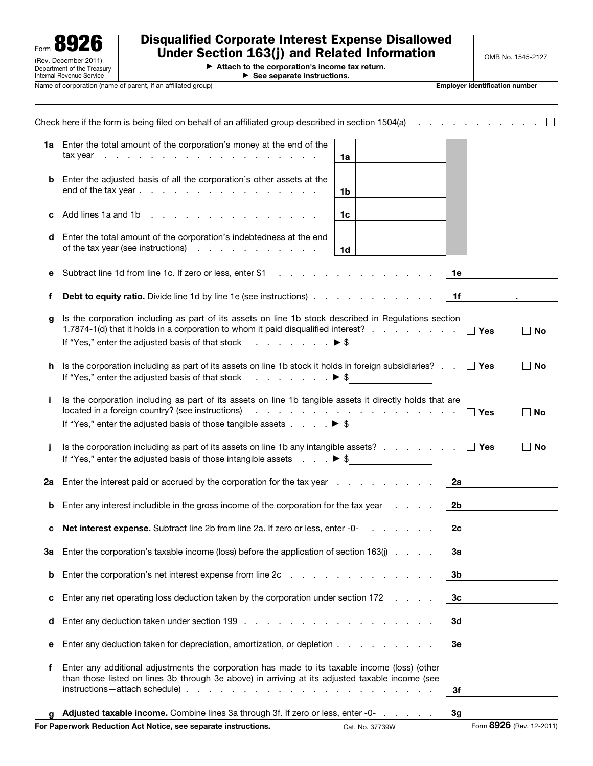

## Disqualified Corporate Interest Expense Disallowed Under Section 163(j) and Related Information

▶ Attach to the corporation's income tax return. ▶ See separate instructions.

Name of corporation (name of parent, if an affiliated group) **Employer identification number** Employer identification number

| ∣ Employer identification nun |  |  |
|-------------------------------|--|--|
|                               |  |  |

|    | Check here if the form is being filed on behalf of an affiliated group described in section 1504(a)                                                                                                                           |                                                                                                                                                                                                                                |                |            |                          |
|----|-------------------------------------------------------------------------------------------------------------------------------------------------------------------------------------------------------------------------------|--------------------------------------------------------------------------------------------------------------------------------------------------------------------------------------------------------------------------------|----------------|------------|--------------------------|
|    | 1a Enter the total amount of the corporation's money at the end of the<br>$\text{tax year}$                                                                                                                                   | 1a                                                                                                                                                                                                                             |                |            |                          |
| b  | Enter the adjusted basis of all the corporation's other assets at the<br>end of the tax year.                                                                                                                                 | 1b                                                                                                                                                                                                                             |                |            |                          |
| c  | Add lines 1a and 1b                                                                                                                                                                                                           | 1c                                                                                                                                                                                                                             |                |            |                          |
| d  | Enter the total amount of the corporation's indebtedness at the end<br>of the tax year (see instructions)                                                                                                                     | 1d                                                                                                                                                                                                                             |                |            |                          |
| е  | Subtract line 1d from line 1c. If zero or less, enter \$1                                                                                                                                                                     |                                                                                                                                                                                                                                | 1e             |            |                          |
| f  | <b>Debt to equity ratio.</b> Divide line 1d by line 1e (see instructions)                                                                                                                                                     |                                                                                                                                                                                                                                | 1f             |            |                          |
| g  | Is the corporation including as part of its assets on line 1b stock described in Regulations section<br>1.7874-1(d) that it holds in a corporation to whom it paid disqualified interest?                                     |                                                                                                                                                                                                                                |                | $\Box$ Yes | ∣ No                     |
|    | If "Yes," enter the adjusted basis of that stock $\ldots$ , $\ldots$ , $\blacktriangleright$ \$                                                                                                                               |                                                                                                                                                                                                                                |                |            |                          |
| h  | Is the corporation including as part of its assets on line 1b stock it holds in foreign subsidiaries? $\Box$ Yes<br>If "Yes," enter the adjusted basis of that stock $\ldots$ , $\ldots$ , $\blacktriangleright$ \$           |                                                                                                                                                                                                                                |                |            | ∣ ∣No                    |
| İ. | Is the corporation including as part of its assets on line 1b tangible assets it directly holds that are<br>located in a foreign country? (see instructions)                                                                  | and the contract of the contract of the contract of the contract of the contract of the contract of the contract of the contract of the contract of the contract of the contract of the contract of the contract of the contra |                | $\Box$ Yes | No                       |
|    | If "Yes," enter the adjusted basis of those tangible assets $\ldots$ , $\blacktriangleright$ \$                                                                                                                               |                                                                                                                                                                                                                                |                |            |                          |
| Ť  | Is the corporation including as part of its assets on line 1b any intangible assets? $\ldots$ $\ldots$ $\ldots$ $\Box$ Yes<br>If "Yes," enter the adjusted basis of those intangible assets $\ldots$ $\blacktriangleright$ \$ |                                                                                                                                                                                                                                |                |            | ∣ No                     |
| 2a | Enter the interest paid or accrued by the corporation for the tax year                                                                                                                                                        |                                                                                                                                                                                                                                | 2a             |            |                          |
| b  | Enter any interest includible in the gross income of the corporation for the tax year                                                                                                                                         |                                                                                                                                                                                                                                | 2 <sub>b</sub> |            |                          |
| с  |                                                                                                                                                                                                                               |                                                                                                                                                                                                                                | 2c             |            |                          |
| За | Enter the corporation's taxable income (loss) before the application of section 163(i)                                                                                                                                        |                                                                                                                                                                                                                                | За             |            |                          |
| b  | Enter the corporation's net interest expense from line 2c                                                                                                                                                                     |                                                                                                                                                                                                                                | 3b             |            |                          |
| с  | Enter any net operating loss deduction taken by the corporation under section 172                                                                                                                                             |                                                                                                                                                                                                                                | 3 <sub>c</sub> |            |                          |
| d  |                                                                                                                                                                                                                               |                                                                                                                                                                                                                                | 3d             |            |                          |
| е  | Enter any deduction taken for depreciation, amortization, or depletion                                                                                                                                                        |                                                                                                                                                                                                                                | 3e             |            |                          |
| f  | Enter any additional adjustments the corporation has made to its taxable income (loss) (other<br>than those listed on lines 3b through 3e above) in arriving at its adjusted taxable income (see                              |                                                                                                                                                                                                                                | 3f             |            |                          |
|    | Adjusted taxable income. Combine lines 3a through 3f. If zero or less, enter -0-                                                                                                                                              |                                                                                                                                                                                                                                | 3g             |            |                          |
|    | For Paperwork Reduction Act Notice, see separate instructions.                                                                                                                                                                | Cat. No. 37739W                                                                                                                                                                                                                |                |            | Form 8926 (Rev. 12-2011) |